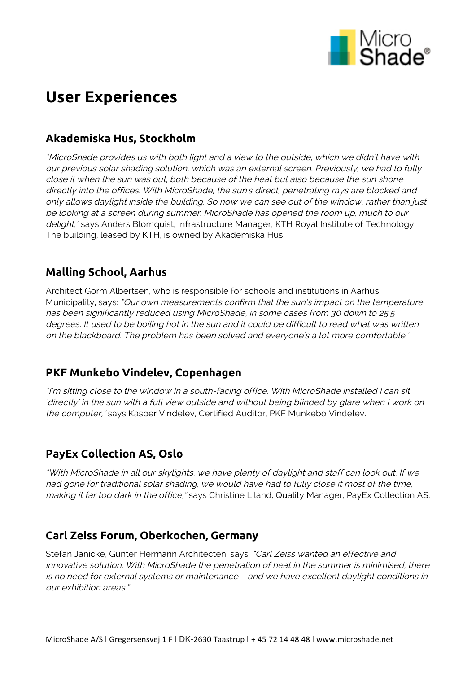

# **User Experiences**

## **Akademiska Hus, Stockholm**

"MicroShade provides us with both light and a view to the outside, which we didn't have with our previous solar shading solution, which was an external screen. Previously, we had to fully close it when the sun was out, both because of the heat but also because the sun shone directly into the offices. With MicroShade, the sun's direct, penetrating rays are blocked and only allows daylight inside the building. So now we can see out of the window, rather than just be looking at a screen during summer. MicroShade has opened the room up, much to our delight," says Anders Blomquist, Infrastructure Manager, KTH Royal Institute of Technology. The building, leased by KTH, is owned by Akademiska Hus.

### **Malling School, Aarhus**

Architect Gorm Albertsen, who is responsible for schools and institutions in Aarhus Municipality, says: "Our own measurements confirm that the sun's impact on the temperature has been significantly reduced using MicroShade, in some cases from 30 down to 25.5 degrees. It used to be boiling hot in the sun and it could be difficult to read what was written on the blackboard. The problem has been solved and everyone's a lot more comfortable."

#### **PKF Munkebo Vindelev, Copenhagen**

"I'm sitting close to the window in a south-facing office. With MicroShade installed I can sit 'directly' in the sun with a full view outside and without being blinded by glare when I work on the computer," says Kasper Vindelev, Certified Auditor, PKF Munkebo Vindelev.

# **PayEx Collection AS, Oslo**

"With MicroShade in all our skylights, we have plenty of daylight and staff can look out. If we had gone for traditional solar shading, we would have had to fully close it most of the time, making it far too dark in the office, "says Christine Liland, Quality Manager, PayEx Collection AS.

#### **Carl Zeiss Forum, Oberkochen, Germany**

Stefan Jänicke, Günter Hermann Architecten, says: "Carl Zeiss wanted an effective and innovative solution. With MicroShade the penetration of heat in the summer is minimised, there is no need for external systems or maintenance – and we have excellent daylight conditions in our exhibition areas."